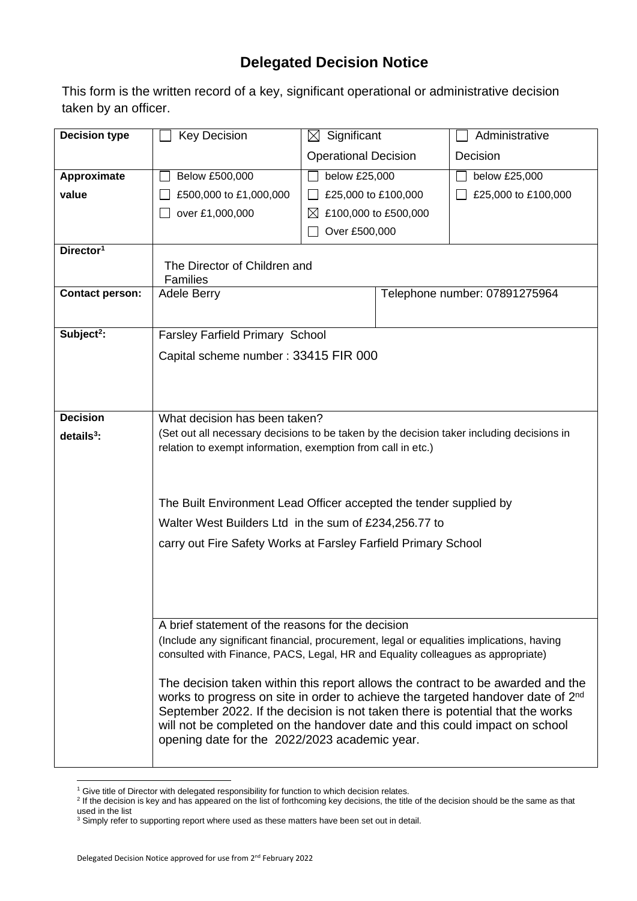## **Delegated Decision Notice**

This form is the written record of a key, significant operational or administrative decision taken by an officer.

| <b>Decision type</b>   | <b>Key Decision</b>                                                                                                                                          | $\boxtimes$ Significant     |  | Administrative                |  |  |  |
|------------------------|--------------------------------------------------------------------------------------------------------------------------------------------------------------|-----------------------------|--|-------------------------------|--|--|--|
|                        |                                                                                                                                                              | <b>Operational Decision</b> |  | Decision                      |  |  |  |
| Approximate            | Below £500,000                                                                                                                                               | below £25,000               |  | below £25,000                 |  |  |  |
| value                  | £500,000 to £1,000,000                                                                                                                                       | £25,000 to £100,000         |  | £25,000 to £100,000           |  |  |  |
|                        | over £1,000,000                                                                                                                                              | £100,000 to £500,000<br>IХ  |  |                               |  |  |  |
|                        |                                                                                                                                                              | Over £500,000               |  |                               |  |  |  |
| Director <sup>1</sup>  |                                                                                                                                                              |                             |  |                               |  |  |  |
|                        | The Director of Children and<br><b>Families</b>                                                                                                              |                             |  |                               |  |  |  |
| <b>Contact person:</b> | Adele Berry                                                                                                                                                  |                             |  | Telephone number: 07891275964 |  |  |  |
| Subject <sup>2</sup> : | Farsley Farfield Primary School                                                                                                                              |                             |  |                               |  |  |  |
|                        |                                                                                                                                                              |                             |  |                               |  |  |  |
|                        | Capital scheme number: 33415 FIR 000                                                                                                                         |                             |  |                               |  |  |  |
|                        |                                                                                                                                                              |                             |  |                               |  |  |  |
|                        |                                                                                                                                                              |                             |  |                               |  |  |  |
| <b>Decision</b>        | What decision has been taken?                                                                                                                                |                             |  |                               |  |  |  |
| $details3$ :           | (Set out all necessary decisions to be taken by the decision taker including decisions in<br>relation to exempt information, exemption from call in etc.)    |                             |  |                               |  |  |  |
|                        |                                                                                                                                                              |                             |  |                               |  |  |  |
|                        |                                                                                                                                                              |                             |  |                               |  |  |  |
|                        | The Built Environment Lead Officer accepted the tender supplied by                                                                                           |                             |  |                               |  |  |  |
|                        | Walter West Builders Ltd in the sum of £234,256.77 to                                                                                                        |                             |  |                               |  |  |  |
|                        | carry out Fire Safety Works at Farsley Farfield Primary School                                                                                               |                             |  |                               |  |  |  |
|                        |                                                                                                                                                              |                             |  |                               |  |  |  |
|                        |                                                                                                                                                              |                             |  |                               |  |  |  |
|                        |                                                                                                                                                              |                             |  |                               |  |  |  |
|                        | A brief statement of the reasons for the decision                                                                                                            |                             |  |                               |  |  |  |
|                        | (Include any significant financial, procurement, legal or equalities implications, having                                                                    |                             |  |                               |  |  |  |
|                        | consulted with Finance, PACS, Legal, HR and Equality colleagues as appropriate)                                                                              |                             |  |                               |  |  |  |
|                        | The decision taken within this report allows the contract to be awarded and the                                                                              |                             |  |                               |  |  |  |
|                        | works to progress on site in order to achieve the targeted handover date of 2 <sup>nd</sup>                                                                  |                             |  |                               |  |  |  |
|                        | September 2022. If the decision is not taken there is potential that the works<br>will not be completed on the handover date and this could impact on school |                             |  |                               |  |  |  |
|                        | opening date for the 2022/2023 academic year.                                                                                                                |                             |  |                               |  |  |  |
|                        |                                                                                                                                                              |                             |  |                               |  |  |  |

<sup>1</sup> Give title of Director with delegated responsibility for function to which decision relates.<br><sup>2</sup> If the decision is key and has appeared on the list of forthcoming key decisions, the title of the decision should be the used in the list

 $3$  Simply refer to supporting report where used as these matters have been set out in detail.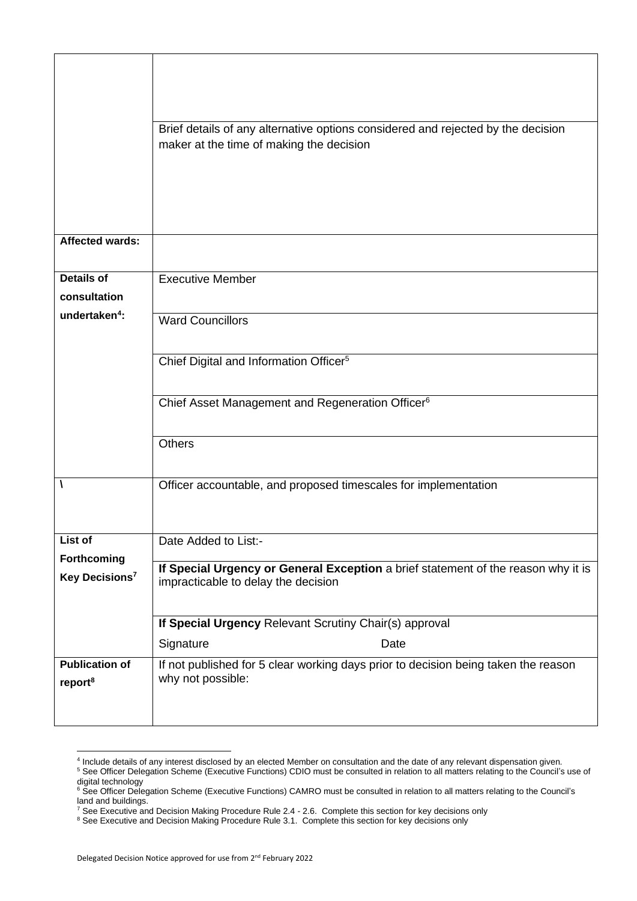|                            | Brief details of any alternative options considered and rejected by the decision<br>maker at the time of making the decision |  |  |  |  |  |
|----------------------------|------------------------------------------------------------------------------------------------------------------------------|--|--|--|--|--|
|                            |                                                                                                                              |  |  |  |  |  |
|                            |                                                                                                                              |  |  |  |  |  |
| <b>Affected wards:</b>     |                                                                                                                              |  |  |  |  |  |
| <b>Details of</b>          | <b>Executive Member</b>                                                                                                      |  |  |  |  |  |
| consultation               |                                                                                                                              |  |  |  |  |  |
| undertaken <sup>4</sup> :  | <b>Ward Councillors</b>                                                                                                      |  |  |  |  |  |
|                            | Chief Digital and Information Officer <sup>5</sup>                                                                           |  |  |  |  |  |
|                            | Chief Asset Management and Regeneration Officer <sup>6</sup>                                                                 |  |  |  |  |  |
|                            | <b>Others</b>                                                                                                                |  |  |  |  |  |
|                            | Officer accountable, and proposed timescales for implementation                                                              |  |  |  |  |  |
| List of                    | Date Added to List:-                                                                                                         |  |  |  |  |  |
| Forthcoming                | If Special Urgency or General Exception a brief statement of the reason why it is                                            |  |  |  |  |  |
| Key Decisions <sup>7</sup> | impracticable to delay the decision                                                                                          |  |  |  |  |  |
|                            | If Special Urgency Relevant Scrutiny Chair(s) approval                                                                       |  |  |  |  |  |
|                            | Signature<br>Date                                                                                                            |  |  |  |  |  |
| <b>Publication of</b>      | If not published for 5 clear working days prior to decision being taken the reason                                           |  |  |  |  |  |
| report <sup>8</sup>        | why not possible:                                                                                                            |  |  |  |  |  |

<sup>4</sup> Include details of any interest disclosed by an elected Member on consultation and the date of any relevant dispensation given.

<sup>&</sup>lt;sup>5</sup> See Officer Delegation Scheme (Executive Functions) CDIO must be consulted in relation to all matters relating to the Council's use of digital technology

<sup>&</sup>lt;sup>6</sup> See Officer Delegation Scheme (Executive Functions) CAMRO must be consulted in relation to all matters relating to the Council's land and buildings.

 $^7$  See Executive and Decision Making Procedure Rule 2.4 - 2.6. Complete this section for key decisions only

<sup>&</sup>lt;sup>8</sup> See Executive and Decision Making Procedure Rule 3.1. Complete this section for key decisions only